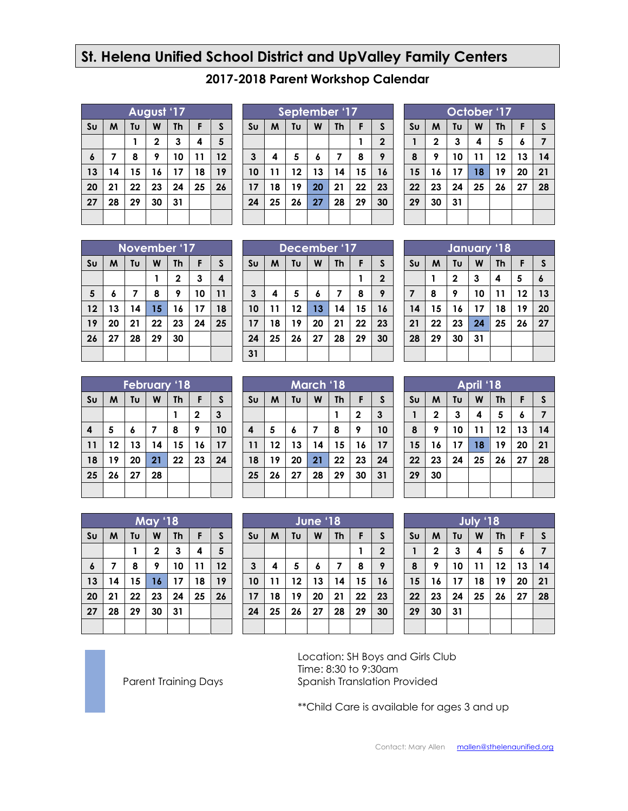## **St. Helena Unified School District and UpValley Family Centers**

|                  | August '17 |    |              |           |    |              |  |  |
|------------------|------------|----|--------------|-----------|----|--------------|--|--|
| S <sub>U</sub>   | M          | Tυ | W            | <b>Th</b> | F  | $\mathsf{s}$ |  |  |
|                  |            |    | $\mathbf{2}$ | 3         | 4  | 5            |  |  |
| $\boldsymbol{6}$ | 7          | 8  | 9            | 10        | 11 | 12           |  |  |
| 13               | 14         | 15 | 16           | 17        | 18 | 19           |  |  |
| 20               | 21         | 22 | 23           | 24        | 25 | 26           |  |  |
| 27               | 28         | 29 | 30           | 31        |    |              |  |  |
|                  |            |    |              |           |    |              |  |  |

| September '17  |    |    |    |           |    |                |  |
|----------------|----|----|----|-----------|----|----------------|--|
| S <sub>U</sub> | M  | Tu | W  | <b>Th</b> | F  | S              |  |
|                |    |    |    |           |    | $\overline{2}$ |  |
| $\mathbf{3}$   | 4  | 5  | 6  | 7         | 8  | 9              |  |
| 10             | 11 | 12 | 13 | 14        | 15 | 16             |  |
| 17             | 18 | 19 | 20 | 21        | 22 | 23             |  |
| 24             | 25 | 26 | 27 | 28        | 29 | 30             |  |
|                |    |    |    |           |    |                |  |

**2017-2018 Parent Workshop Calendar**

| October '17    |             |    |    |    |    |              |  |  |  |
|----------------|-------------|----|----|----|----|--------------|--|--|--|
| S <sub>U</sub> | M           | Tu | W  | Th | F  | $\mathsf{s}$ |  |  |  |
|                | $\mathbf 2$ | 3  | 4  | 5  | 6  | 7            |  |  |  |
| 8              | 9           | 10 | 11 | 12 | 13 | 14           |  |  |  |
| 15             | 16          | 17 | 18 | 19 | 20 | 21           |  |  |  |
| 22             | 23          | 24 | 25 | 26 | 27 | 28           |  |  |  |
| 29             | 30          | 31 |    |    |    |              |  |  |  |
|                |             |    |    |    |    |              |  |  |  |

|                | November '17 |    |    |           |    |    |  |  |
|----------------|--------------|----|----|-----------|----|----|--|--|
| S <sub>U</sub> | M            | Tυ | W  | <b>Th</b> | F  | S  |  |  |
|                |              |    |    | 2         | 3  | 4  |  |  |
| 5              | 6            | 7  | 8  | 9         | 10 | 11 |  |  |
| 12             | 13           | 14 | 15 | 16        | 17 | 18 |  |  |
| 19             | 20           | 21 | 22 | 23        | 24 | 25 |  |  |
| 26             | 27           | 28 | 29 | 30        |    |    |  |  |
|                |              |    |    |           |    |    |  |  |

|                | December '17 |    |    |           |    |              |  |  |
|----------------|--------------|----|----|-----------|----|--------------|--|--|
| S <sub>U</sub> | M            | Tυ | W  | <b>Th</b> | F  | $\mathsf{s}$ |  |  |
|                |              |    |    |           |    | $\mathbf{2}$ |  |  |
| $\mathbf{3}$   | 4            | 5  | 6  | 7         | 8  | 9            |  |  |
| 10             | 11           | 12 | 13 | 14        | 15 | 16           |  |  |
| 17             | 18           | 19 | 20 | 21        | 22 | 23           |  |  |
| 24             | 25           | 26 | 27 | 28        | 29 | 30           |  |  |
| 31             |              |    |    |           |    |              |  |  |

| January '18    |                                                |    |    |    |    |    |  |  |
|----------------|------------------------------------------------|----|----|----|----|----|--|--|
| S <sub>U</sub> | Tυ<br>M<br>W<br>F<br>$\mathsf{s}$<br><b>Th</b> |    |    |    |    |    |  |  |
|                |                                                | 2  | 3  | 4  | 5  | 6  |  |  |
| $\overline{7}$ | 8                                              | 9  | 10 | 11 | 12 | 13 |  |  |
| 14             | 15                                             | 16 | 17 | 18 | 19 | 20 |  |  |
| 21             | 22                                             | 23 | 24 | 25 | 26 | 27 |  |  |
| 28             | 29                                             | 30 | 31 |    |    |    |  |  |
|                |                                                |    |    |    |    |    |  |  |

| <b>February '18</b> |    |    |                |           |              |    |  |
|---------------------|----|----|----------------|-----------|--------------|----|--|
| S <sub>U</sub>      | M  | Tu | W              | <b>Th</b> | F            | S  |  |
|                     |    |    |                |           | $\mathbf{2}$ | 3  |  |
| 4                   | 5  | 6  | $\overline{7}$ | 8         | 9            | 10 |  |
| 11                  | 12 | 13 | 14             | 15        | 16           | 17 |  |
| 18                  | 19 | 20 | 21             | 22        | 23           | 24 |  |
| 25                  | 26 | 27 | 28             |           |              |    |  |
|                     |    |    |                |           |              |    |  |

| March '18      |                                     |    |    |    |             |    |  |  |
|----------------|-------------------------------------|----|----|----|-------------|----|--|--|
| S <sub>U</sub> | Tυ<br>W<br>M<br>F<br><b>Th</b><br>S |    |    |    |             |    |  |  |
|                |                                     |    |    |    | $\mathbf 2$ | 3  |  |  |
| 4              | 5                                   | 6  | 7  | 8  | 9           | 10 |  |  |
| 11             | 12                                  | 13 | 14 | 15 | 16          | 17 |  |  |
| 18             | 19                                  | 20 | 21 | 22 | 23          | 24 |  |  |
| 25             | 26                                  | 27 | 28 | 29 | 30          | 31 |  |  |
|                |                                     |    |    |    |             |    |  |  |

| April '18      |                         |    |    |           |    |    |  |  |  |
|----------------|-------------------------|----|----|-----------|----|----|--|--|--|
| S <sub>U</sub> | M                       | Tυ | W  | <b>Th</b> | F  | S  |  |  |  |
| $\mathbf{1}$   | $\overline{\mathbf{c}}$ | 3  | 4  | 5         | 6  | 7  |  |  |  |
| 8              | 9                       | 10 | 11 | 12        | 13 | 14 |  |  |  |
| 15             | 16                      | 17 | 18 | 19        | 20 | 21 |  |  |  |
| 22             | 23                      | 24 | 25 | 26        | 27 | 28 |  |  |  |
| 29             | 30                      |    |    |           |    |    |  |  |  |
|                |                         |    |    |           |    |    |  |  |  |

| <b>May '18</b> |    |    |             |           |    |    |  |  |
|----------------|----|----|-------------|-----------|----|----|--|--|
| S <sub>U</sub> | M  | Tυ | W           | <b>Th</b> | F  | S  |  |  |
|                |    | 1  | $\mathbf 2$ | 3         | 4  | 5  |  |  |
| $\pmb{6}$      | 7  | 8  | 9           | 10        | 11 | 12 |  |  |
| 13             | 14 | 15 | 16          | 17        | 18 | 19 |  |  |
| 20             | 21 | 22 | 23          | 24        | 25 | 26 |  |  |
| 27             | 28 | 29 | 30          | 31        |    |    |  |  |
|                |    |    |             |           |    |    |  |  |

|                | June '18 |    |    |           |    |                         |  |  |
|----------------|----------|----|----|-----------|----|-------------------------|--|--|
| S <sub>U</sub> | M        | Tυ | W  | <b>Th</b> | F  | $\mathsf{s}$            |  |  |
|                |          |    |    |           | 1  | $\overline{\mathbf{2}}$ |  |  |
| 3              | 4        | 5  | 6  | 7         | 8  | 9                       |  |  |
| 10             | 11       | 12 | 13 | 14        | 15 | 16                      |  |  |
| 17             | 18       | 19 | 20 | 21        | 22 | 23                      |  |  |
| 24             | 25       | 26 | 27 | 28        | 29 | 30                      |  |  |
|                |          |    |    |           |    |                         |  |  |

| <b>July '18</b> |                         |    |    |           |    |    |  |  |
|-----------------|-------------------------|----|----|-----------|----|----|--|--|
| S <sub>U</sub>  | M                       | Tυ | W  | <b>Th</b> | F  | S  |  |  |
| 1               | $\overline{\mathbf{c}}$ | 3  | 4  | 5         | 6  | 7  |  |  |
| 8               | 9                       | 10 | 11 | 12        | 13 | 14 |  |  |
| 15              | 16                      | 17 | 18 | 19        | 20 | 21 |  |  |
| 22              | 23                      | 24 | 25 | 26        | 27 | 28 |  |  |
| 29              | 30                      | 31 |    |           |    |    |  |  |
|                 |                         |    |    |           |    |    |  |  |

Location: SH Boys and Girls Club Time: 8:30 to 9:30am Spanish Translation Provided

\*\*Child Care is available for ages 3 and up